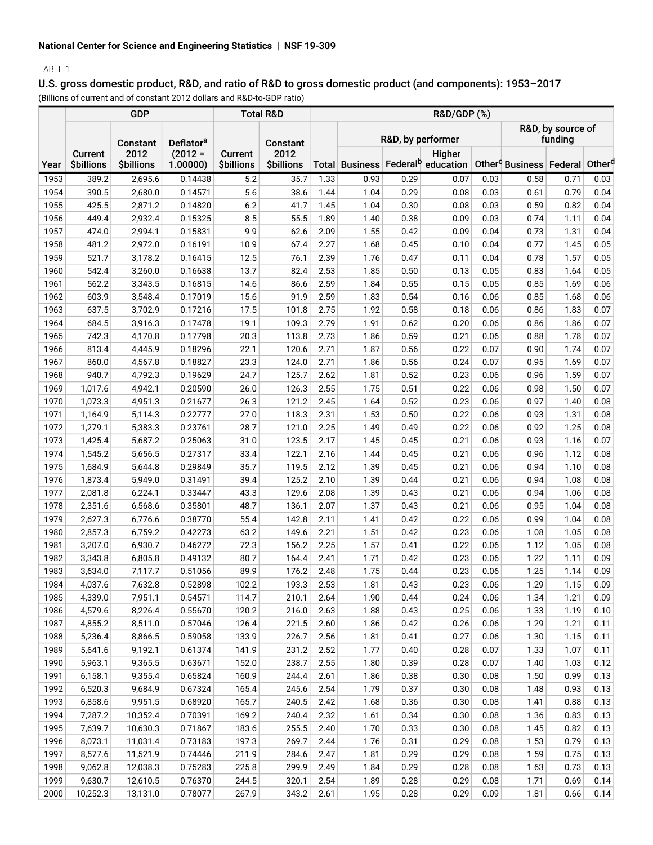# TABLE 1

# U.S. gross domestic product, R&D, and ratio of R&D to gross domestic product (and components): 1953–2017

(Billions of current and of constant 2012 dollars and R&D-to-GDP ratio)

|      |                              | <b>GDP</b>                | <b>Total R&amp;D</b>  |                              | <b>R&amp;D/GDP (%)</b>    |      |                   |      |                                                         |      |                                                            |      |      |
|------|------------------------------|---------------------------|-----------------------|------------------------------|---------------------------|------|-------------------|------|---------------------------------------------------------|------|------------------------------------------------------------|------|------|
|      |                              | Constant                  | Deflator <sup>a</sup> |                              | <b>Constant</b>           |      | R&D, by performer |      |                                                         |      | R&D, by source of<br>funding                               |      |      |
| Year | Current<br><b>\$billions</b> | 2012<br><b>\$billions</b> | $(2012 =$<br>1.00000  | Current<br><b>\$billions</b> | 2012<br><b>\$billions</b> |      |                   |      | Higher<br>Total Business Federal <sup>b</sup> education |      | Other <sup>c</sup> Business   Federal   Other <sup>d</sup> |      |      |
| 1953 | 389.2                        | 2,695.6                   | 0.14438               | 5.2                          | 35.7                      | 1.33 | 0.93              | 0.29 | 0.07                                                    | 0.03 | 0.58                                                       | 0.71 | 0.03 |
| 1954 | 390.5                        | 2,680.0                   | 0.14571               | 5.6                          | 38.6                      | 1.44 | 1.04              | 0.29 | 0.08                                                    | 0.03 | 0.61                                                       | 0.79 | 0.04 |
| 1955 | 425.5                        | 2,871.2                   | 0.14820               | 6.2                          | 41.7                      | 1.45 | 1.04              | 0.30 | 0.08                                                    | 0.03 | 0.59                                                       | 0.82 | 0.04 |
| 1956 | 449.4                        | 2,932.4                   | 0.15325               | 8.5                          | 55.5                      | 1.89 | 1.40              | 0.38 | 0.09                                                    | 0.03 | 0.74                                                       | 1.11 | 0.04 |
| 1957 | 474.0                        | 2,994.1                   | 0.15831               | 9.9                          | 62.6                      | 2.09 | 1.55              | 0.42 | 0.09                                                    | 0.04 | 0.73                                                       | 1.31 | 0.04 |
| 1958 | 481.2                        | 2,972.0                   | 0.16191               | 10.9                         | 67.4                      | 2.27 | 1.68              | 0.45 | 0.10                                                    | 0.04 | 0.77                                                       | 1.45 | 0.05 |
| 1959 | 521.7                        | 3,178.2                   | 0.16415               | 12.5                         | 76.1                      | 2.39 | 1.76              | 0.47 | 0.11                                                    | 0.04 | 0.78                                                       | 1.57 | 0.05 |
| 1960 | 542.4                        | 3,260.0                   | 0.16638               | 13.7                         | 82.4                      | 2.53 | 1.85              | 0.50 | 0.13                                                    | 0.05 | 0.83                                                       | 1.64 | 0.05 |
| 1961 | 562.2                        | 3,343.5                   | 0.16815               | 14.6                         | 86.6                      | 2.59 | 1.84              | 0.55 | 0.15                                                    | 0.05 | 0.85                                                       | 1.69 | 0.06 |
| 1962 | 603.9                        | 3,548.4                   | 0.17019               | 15.6                         | 91.9                      | 2.59 | 1.83              | 0.54 | 0.16                                                    | 0.06 | 0.85                                                       | 1.68 | 0.06 |
| 1963 | 637.5                        | 3,702.9                   | 0.17216               | 17.5                         | 101.8                     | 2.75 | 1.92              | 0.58 | 0.18                                                    | 0.06 | 0.86                                                       | 1.83 | 0.07 |
| 1964 | 684.5                        | 3,916.3                   | 0.17478               | 19.1                         | 109.3                     | 2.79 | 1.91              | 0.62 | 0.20                                                    | 0.06 | 0.86                                                       | 1.86 | 0.07 |
| 1965 | 742.3                        | 4,170.8                   | 0.17798               | 20.3                         | 113.8                     | 2.73 | 1.86              | 0.59 | 0.21                                                    | 0.06 | 0.88                                                       | 1.78 | 0.07 |
| 1966 | 813.4                        | 4,445.9                   | 0.18296               | 22.1                         | 120.6                     | 2.71 | 1.87              | 0.56 | 0.22                                                    | 0.07 | 0.90                                                       | 1.74 | 0.07 |
| 1967 | 860.0                        | 4,567.8                   | 0.18827               | 23.3                         | 124.0                     | 2.71 | 1.86              | 0.56 | 0.24                                                    | 0.07 | 0.95                                                       | 1.69 | 0.07 |
| 1968 | 940.7                        | 4,792.3                   | 0.19629               | 24.7                         | 125.7                     | 2.62 | 1.81              | 0.52 | 0.23                                                    | 0.06 | 0.96                                                       | 1.59 | 0.07 |
| 1969 | 1,017.6                      | 4,942.1                   | 0.20590               | 26.0                         | 126.3                     | 2.55 | 1.75              | 0.51 | 0.22                                                    | 0.06 | 0.98                                                       | 1.50 | 0.07 |
| 1970 | 1,073.3                      | 4,951.3                   | 0.21677               | 26.3                         | 121.2                     | 2.45 | 1.64              | 0.52 | 0.23                                                    | 0.06 | 0.97                                                       | 1.40 | 0.08 |
| 1971 | 1,164.9                      | 5,114.3                   | 0.22777               | 27.0                         | 118.3                     | 2.31 | 1.53              | 0.50 | 0.22                                                    | 0.06 | 0.93                                                       | 1.31 | 0.08 |
| 1972 | 1,279.1                      | 5,383.3                   | 0.23761               | 28.7                         | 121.0                     | 2.25 | 1.49              | 0.49 | 0.22                                                    | 0.06 | 0.92                                                       | 1.25 | 0.08 |
| 1973 | 1,425.4                      | 5,687.2                   | 0.25063               | 31.0                         | 123.5                     | 2.17 | 1.45              | 0.45 | 0.21                                                    | 0.06 | 0.93                                                       | 1.16 | 0.07 |
| 1974 | 1,545.2                      | 5,656.5                   | 0.27317               | 33.4                         | 122.1                     | 2.16 | 1.44              | 0.45 | 0.21                                                    | 0.06 | 0.96                                                       | 1.12 | 0.08 |
| 1975 | 1,684.9                      | 5,644.8                   | 0.29849               | 35.7                         | 119.5                     | 2.12 | 1.39              | 0.45 | 0.21                                                    | 0.06 | 0.94                                                       | 1.10 | 0.08 |
| 1976 | 1,873.4                      | 5,949.0                   | 0.31491               | 39.4                         | 125.2                     | 2.10 | 1.39              | 0.44 | 0.21                                                    | 0.06 | 0.94                                                       | 1.08 | 0.08 |
| 1977 | 2,081.8                      | 6,224.1                   | 0.33447               | 43.3                         | 129.6                     | 2.08 | 1.39              | 0.43 | 0.21                                                    | 0.06 | 0.94                                                       | 1.06 | 0.08 |
| 1978 | 2,351.6                      | 6,568.6                   | 0.35801               | 48.7                         | 136.1                     | 2.07 | 1.37              | 0.43 | 0.21                                                    | 0.06 | 0.95                                                       | 1.04 | 0.08 |
| 1979 | 2,627.3                      | 6,776.6                   | 0.38770               | 55.4                         | 142.8                     | 2.11 | 1.41              | 0.42 | 0.22                                                    | 0.06 | 0.99                                                       | 1.04 | 0.08 |
| 1980 | 2,857.3                      | 6,759.2                   | 0.42273               | 63.2                         | 149.6                     | 2.21 | 1.51              | 0.42 | 0.23                                                    | 0.06 | 1.08                                                       | 1.05 | 0.08 |
| 1981 | 3,207.0                      | 6,930.7                   | 0.46272               | 72.3                         | 156.2                     | 2.25 | 1.57              | 0.41 | 0.22                                                    | 0.06 | 1.12                                                       | 1.05 | 0.08 |
| 1982 | 3,343.8                      | 6,805.8                   | 0.49132               | 80.7                         | 164.4                     | 2.41 | 1.71              | 0.42 | 0.23                                                    | 0.06 | 1.22                                                       | 1.11 | 0.09 |
| 1983 | 3,634.0                      | 7,117.7                   | 0.51056               | 89.9                         | 176.2                     | 2.48 | 1.75              | 0.44 | 0.23                                                    | 0.06 | 1.25                                                       | 1.14 | 0.09 |
| 1984 | 4,037.6                      | 7,632.8                   | 0.52898               | 102.2                        | 193.3                     | 2.53 | 1.81              | 0.43 | 0.23                                                    | 0.06 | 1.29                                                       | 1.15 | 0.09 |
| 1985 | 4,339.0                      | 7,951.1                   | 0.54571               | 114.7                        | 210.1                     | 2.64 | 1.90              | 0.44 | 0.24                                                    | 0.06 | 1.34                                                       | 1.21 | 0.09 |
| 1986 | 4,579.6                      | 8,226.4                   | 0.55670               | 120.2                        | 216.0                     | 2.63 | 1.88              | 0.43 | 0.25                                                    | 0.06 | 1.33                                                       | 1.19 | 0.10 |
| 1987 | 4,855.2                      | 8,511.0                   | 0.57046               | 126.4                        | 221.5                     | 2.60 | 1.86              | 0.42 | 0.26                                                    | 0.06 | 1.29                                                       | 1.21 | 0.11 |
| 1988 | 5,236.4                      | 8,866.5                   | 0.59058               | 133.9                        | 226.7                     | 2.56 | 1.81              | 0.41 | 0.27                                                    | 0.06 | 1.30                                                       | 1.15 | 0.11 |
| 1989 | 5,641.6                      | 9,192.1                   | 0.61374               | 141.9                        | 231.2                     | 2.52 | 1.77              | 0.40 | 0.28                                                    | 0.07 | 1.33                                                       | 1.07 | 0.11 |
| 1990 | 5,963.1                      | 9,365.5                   | 0.63671               | 152.0                        | 238.7                     | 2.55 | 1.80              | 0.39 | 0.28                                                    | 0.07 | 1.40                                                       | 1.03 | 0.12 |
| 1991 | 6,158.1                      | 9,355.4                   | 0.65824               | 160.9                        | 244.4                     | 2.61 | 1.86              | 0.38 | 0.30                                                    | 0.08 | 1.50                                                       | 0.99 | 0.13 |
| 1992 | 6,520.3                      | 9,684.9                   | 0.67324               | 165.4                        | 245.6                     | 2.54 | 1.79              | 0.37 | 0.30                                                    | 0.08 | 1.48                                                       | 0.93 | 0.13 |
| 1993 | 6,858.6                      | 9,951.5                   | 0.68920               | 165.7                        | 240.5                     | 2.42 | 1.68              | 0.36 | 0.30                                                    | 0.08 | 1.41                                                       | 0.88 | 0.13 |
| 1994 | 7,287.2                      | 10,352.4                  | 0.70391               | 169.2                        | 240.4                     | 2.32 | 1.61              | 0.34 | 0.30                                                    | 0.08 | 1.36                                                       | 0.83 | 0.13 |
| 1995 | 7,639.7                      | 10,630.3                  | 0.71867               | 183.6                        | 255.5                     | 2.40 | 1.70              | 0.33 | 0.30                                                    | 0.08 | 1.45                                                       | 0.82 | 0.13 |
| 1996 | 8,073.1                      | 11,031.4                  | 0.73183               | 197.3                        | 269.7                     | 2.44 | 1.76              | 0.31 | 0.29                                                    | 0.08 | 1.53                                                       | 0.79 | 0.13 |
| 1997 | 8,577.6                      | 11,521.9                  | 0.74446               | 211.9                        | 284.6                     | 2.47 | 1.81              | 0.29 | 0.29                                                    | 0.08 | 1.59                                                       | 0.75 | 0.13 |
| 1998 | 9,062.8                      | 12,038.3                  | 0.75283               | 225.8                        | 299.9                     | 2.49 | 1.84              | 0.29 | 0.28                                                    | 0.08 | 1.63                                                       | 0.73 | 0.13 |
| 1999 | 9,630.7                      | 12,610.5                  | 0.76370               | 244.5                        | 320.1                     | 2.54 | 1.89              | 0.28 | 0.29                                                    | 0.08 | 1.71                                                       | 0.69 | 0.14 |
| 2000 | 10,252.3                     | 13,131.0                  | 0.78077               | 267.9                        | 343.2                     | 2.61 | 1.95              | 0.28 | 0.29                                                    | 0.09 | 1.81                                                       | 0.66 | 0.14 |